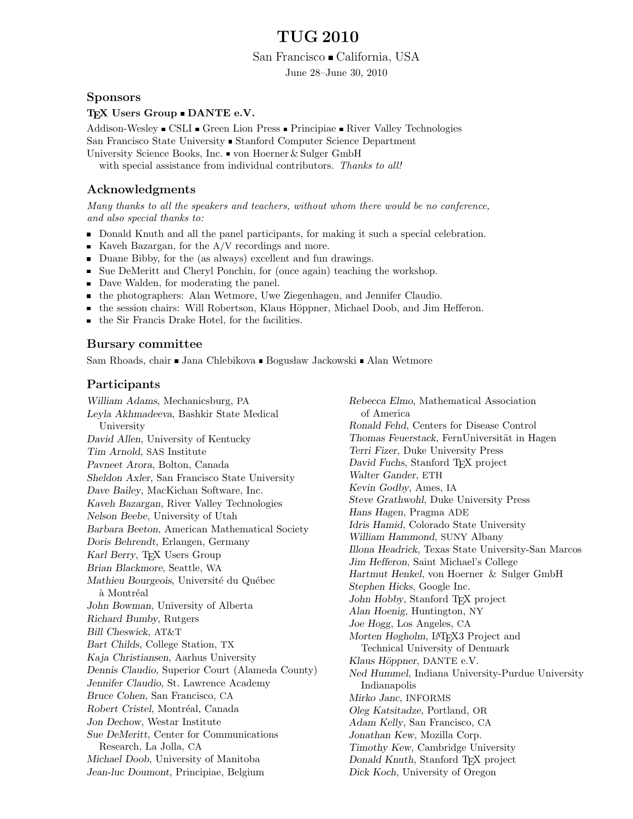# TUG 2010

San Francisco • California, USA

June 28–June 30, 2010

#### Sponsors

#### TEX Users Group  $\blacksquare$  DANTE e.V.

Addison-Wesley CSLI Green Lion Press Principiae River Valley Technologies San Francisco State University • Stanford Computer Science Department University Science Books, Inc.  $\blacksquare$  von Hoerner & Sulger GmbH

with special assistance from individual contributors. Thanks to all!

## Acknowledgments

Many thanks to all the speakers and teachers, without whom there would be no conference, and also special thanks to:

- Donald Knuth and all the panel participants, for making it such a special celebration.
- Kaveh Bazargan, for the  $A/V$  recordings and more.
- Duane Bibby, for the (as always) excellent and fun drawings.
- Sue DeMeritt and Cheryl Ponchin, for (once again) teaching the workshop.
- Dave Walden, for moderating the panel.
- the photographers: Alan Wetmore, Uwe Ziegenhagen, and Jennifer Claudio.
- the session chairs: Will Robertson, Klaus Höppner, Michael Doob, and Jim Hefferon.
- the Sir Francis Drake Hotel, for the facilities.

#### Bursary committee

Sam Rhoads, chair • Jana Chlebikova • Bogusław Jackowski • Alan Wetmore

## Participants

William Adams, Mechanicsburg, PA Leyla Akhmadeeva, Bashkir State Medical University David Allen, University of Kentucky Tim Arnold, SAS Institute Pavneet Arora, Bolton, Canada Sheldon Axler, San Francisco State University Dave Bailey, MacKichan Software, Inc. Kaveh Bazargan, River Valley Technologies Nelson Beebe, University of Utah Barbara Beeton, American Mathematical Society Doris Behrendt, Erlangen, Germany Karl Berry, TEX Users Group Brian Blackmore, Seattle, WA Mathieu Bourgeois, Université du Québec à Montréal John Bowman, University of Alberta Richard Bumby, Rutgers Bill Cheswick, AT&T Bart Childs, College Station, TX Kaja Christiansen, Aarhus University Dennis Claudio, Superior Court (Alameda County) Jennifer Claudio, St. Lawrence Academy Bruce Cohen, San Francisco, CA Robert Cristel, Montréal, Canada Jon Dechow, Westar Institute Sue DeMeritt, Center for Communications Research, La Jolla, CA Michael Doob, University of Manitoba Jean-luc Doumont, Principiae, Belgium

Rebecca Elmo, Mathematical Association of America Ronald Fehd, Centers for Disease Control Thomas Feuerstack, FernUniversität in Hagen Terri Fizer, Duke University Press David Fuchs, Stanford T<sub>EX</sub> project Walter Gander, ETH Kevin Godby, Ames, IA Steve Grathwohl, Duke University Press Hans Hagen, Pragma ADE Idris Hamid, Colorado State University William Hammond, SUNY Albany Illona Headrick, Texas State University-San Marcos Jim Hefferon, Saint Michael's College Hartmut Henkel, von Hoerner & Sulger GmbH Stephen Hicks, Google Inc. John Hobby, Stanford T<sub>EX</sub> project Alan Hoenig, Huntington, NY Joe Hogg, Los Angeles, CA Morten Høgholm, L<sup>A</sup>T<sub>F</sub>X3 Project and Technical University of Denmark Klaus Höppner, DANTE e.V. Ned Hummel, Indiana University-Purdue University Indianapolis Mirko Janc, INFORMS Oleg Katsitadze, Portland, OR Adam Kelly, San Francisco, CA Jonathan Kew, Mozilla Corp. Timothy Kew, Cambridge University Donald Knuth, Stanford T<sub>E</sub>X project Dick Koch, University of Oregon